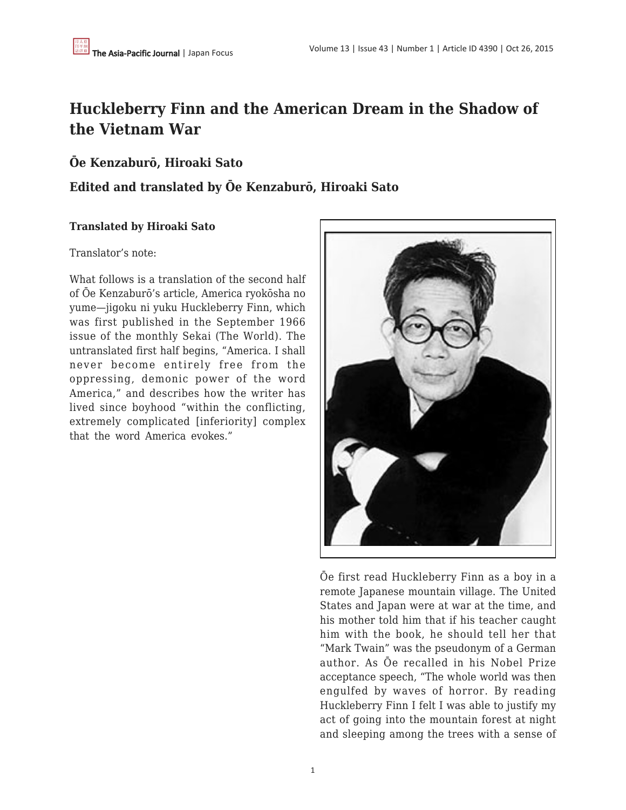# **Huckleberry Finn and the American Dream in the Shadow of the Vietnam War**

## **Ōe Kenzaburō, Hiroaki Sato**

## **Edited and translated by Ōe Kenzaburō, Hiroaki Sato**

### **Translated by Hiroaki Sato**

### Translator's note:

What follows is a translation of the second half of Ōe Kenzaburō's article, America ryokōsha no yume—jigoku ni yuku Huckleberry Finn, which was first published in the September 1966 issue of the monthly Sekai (The World). The untranslated first half begins, "America. I shall never become entirely free from the oppressing, demonic power of the word America," and describes how the writer has lived since boyhood "within the conflicting, extremely complicated [inferiority] complex that the word America evokes."



Ōe first read Huckleberry Finn as a boy in a remote Japanese mountain village. The United States and Japan were at war at the time, and his mother told him that if his teacher caught him with the book, he should tell her that "Mark Twain" was the pseudonym of a German author. As Ōe recalled in his Nobel Prize acceptance speech, "The whole world was then engulfed by waves of horror. By reading Huckleberry Finn I felt I was able to justify my act of going into the mountain forest at night and sleeping among the trees with a sense of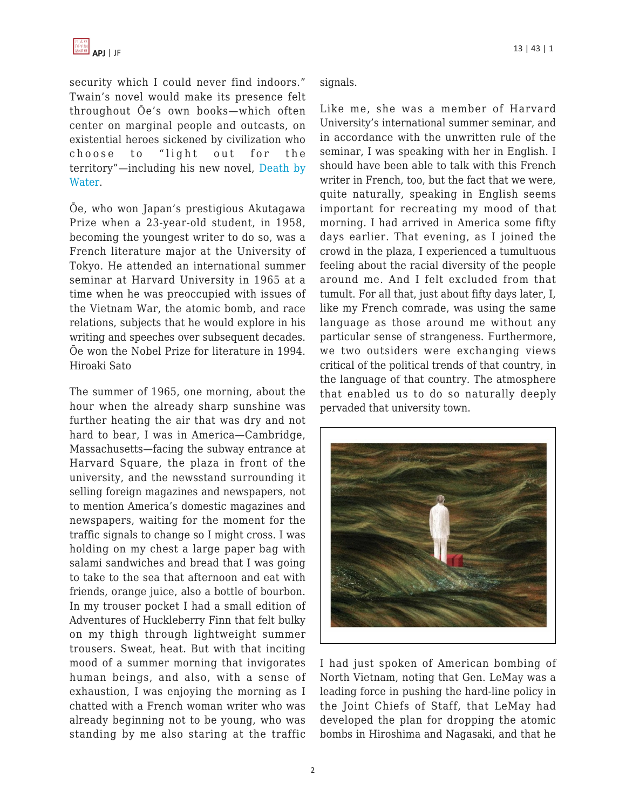

security which I could never find indoors." Twain's novel would make its presence felt throughout Ōe's own books—which often center on marginal people and outcasts, on existential heroes sickened by civilization who choose to "light out for the territory"—including his new novel, [Death by](http://www.groveatlantic.com/?author=Kenzaburo+Oe#page=isbn9780802124012) [Water](http://www.groveatlantic.com/?author=Kenzaburo+Oe#page=isbn9780802124012).

Ōe, who won Japan's prestigious Akutagawa Prize when a 23-year-old student, in 1958, becoming the youngest writer to do so, was a French literature major at the University of Tokyo. He attended an international summer seminar at Harvard University in 1965 at a time when he was preoccupied with issues of the Vietnam War, the atomic bomb, and race relations, subjects that he would explore in his writing and speeches over subsequent decades. Ōe won the Nobel Prize for literature in 1994. Hiroaki Sato

The summer of 1965, one morning, about the hour when the already sharp sunshine was further heating the air that was dry and not hard to bear, I was in America—Cambridge, Massachusetts—facing the subway entrance at Harvard Square, the plaza in front of the university, and the newsstand surrounding it selling foreign magazines and newspapers, not to mention America's domestic magazines and newspapers, waiting for the moment for the traffic signals to change so I might cross. I was holding on my chest a large paper bag with salami sandwiches and bread that I was going to take to the sea that afternoon and eat with friends, orange juice, also a bottle of bourbon. In my trouser pocket I had a small edition of Adventures of Huckleberry Finn that felt bulky on my thigh through lightweight summer trousers. Sweat, heat. But with that inciting mood of a summer morning that invigorates human beings, and also, with a sense of exhaustion, I was enjoying the morning as I chatted with a French woman writer who was already beginning not to be young, who was standing by me also staring at the traffic signals.

Like me, she was a member of Harvard University's international summer seminar, and in accordance with the unwritten rule of the seminar, I was speaking with her in English. I should have been able to talk with this French writer in French, too, but the fact that we were, quite naturally, speaking in English seems important for recreating my mood of that morning. I had arrived in America some fifty days earlier. That evening, as I joined the crowd in the plaza, I experienced a tumultuous feeling about the racial diversity of the people around me. And I felt excluded from that tumult. For all that, just about fifty days later, I, like my French comrade, was using the same language as those around me without any particular sense of strangeness. Furthermore, we two outsiders were exchanging views critical of the political trends of that country, in the language of that country. The atmosphere that enabled us to do so naturally deeply pervaded that university town.



I had just spoken of American bombing of North Vietnam, noting that Gen. LeMay was a leading force in pushing the hard-line policy in the Joint Chiefs of Staff, that LeMay had developed the plan for dropping the atomic bombs in Hiroshima and Nagasaki, and that he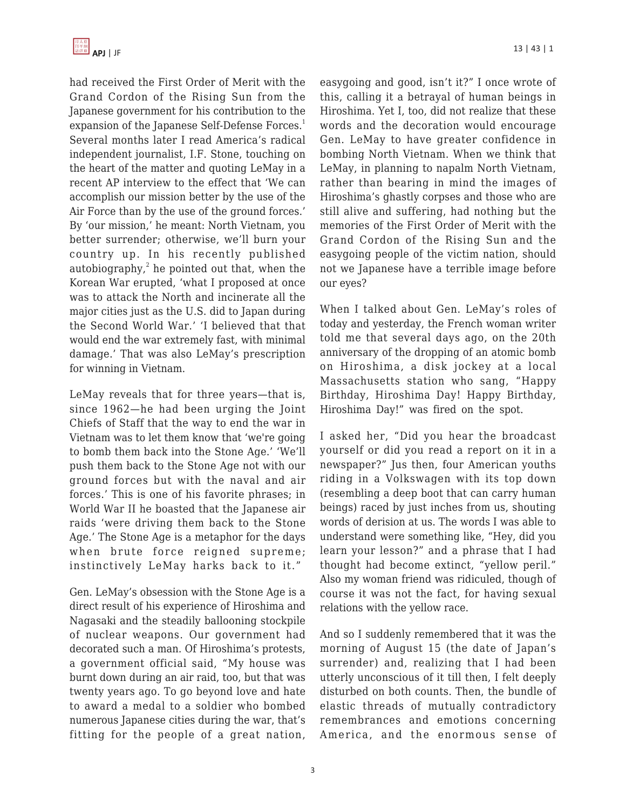had received the First Order of Merit with the Grand Cordon of the Rising Sun from the Japanese government for his contribution to the expansion of the Japanese Self-Defense Forces.<sup>1</sup> Several months later I read America's radical independent journalist, I.F. Stone, touching on the heart of the matter and quoting LeMay in a recent AP interview to the effect that 'We can accomplish our mission better by the use of the Air Force than by the use of the ground forces.' By 'our mission,' he meant: North Vietnam, you better surrender; otherwise, we'll burn your country up. In his recently published autobiography, $^2$  he pointed out that, when the Korean War erupted, 'what I proposed at once was to attack the North and incinerate all the major cities just as the U.S. did to Japan during the Second World War.' 'I believed that that would end the war extremely fast, with minimal damage.' That was also LeMay's prescription for winning in Vietnam.

LeMay reveals that for three years—that is, since 1962—he had been urging the Joint Chiefs of Staff that the way to end the war in Vietnam was to let them know that 'we're going to bomb them back into the Stone Age.' 'We'll push them back to the Stone Age not with our ground forces but with the naval and air forces.' This is one of his favorite phrases; in World War II he boasted that the Japanese air raids 'were driving them back to the Stone Age.' The Stone Age is a metaphor for the days when brute force reigned supreme; instinctively LeMay harks back to it."

Gen. LeMay's obsession with the Stone Age is a direct result of his experience of Hiroshima and Nagasaki and the steadily ballooning stockpile of nuclear weapons. Our government had decorated such a man. Of Hiroshima's protests, a government official said, "My house was burnt down during an air raid, too, but that was twenty years ago. To go beyond love and hate to award a medal to a soldier who bombed numerous Japanese cities during the war, that's fitting for the people of a great nation,

easygoing and good, isn't it?" I once wrote of this, calling it a betrayal of human beings in Hiroshima. Yet I, too, did not realize that these words and the decoration would encourage Gen. LeMay to have greater confidence in bombing North Vietnam. When we think that LeMay, in planning to napalm North Vietnam, rather than bearing in mind the images of Hiroshima's ghastly corpses and those who are still alive and suffering, had nothing but the memories of the First Order of Merit with the Grand Cordon of the Rising Sun and the easygoing people of the victim nation, should not we Japanese have a terrible image before our eyes?

When I talked about Gen. LeMay's roles of today and yesterday, the French woman writer told me that several days ago, on the 20th anniversary of the dropping of an atomic bomb on Hiroshima, a disk jockey at a local Massachusetts station who sang, "Happy Birthday, Hiroshima Day! Happy Birthday, Hiroshima Day!" was fired on the spot.

I asked her, "Did you hear the broadcast yourself or did you read a report on it in a newspaper?" Jus then, four American youths riding in a Volkswagen with its top down (resembling a deep boot that can carry human beings) raced by just inches from us, shouting words of derision at us. The words I was able to understand were something like, "Hey, did you learn your lesson?" and a phrase that I had thought had become extinct, "yellow peril." Also my woman friend was ridiculed, though of course it was not the fact, for having sexual relations with the yellow race.

And so I suddenly remembered that it was the morning of August 15 (the date of Japan's surrender) and, realizing that I had been utterly unconscious of it till then, I felt deeply disturbed on both counts. Then, the bundle of elastic threads of mutually contradictory remembrances and emotions concerning America, and the enormous sense of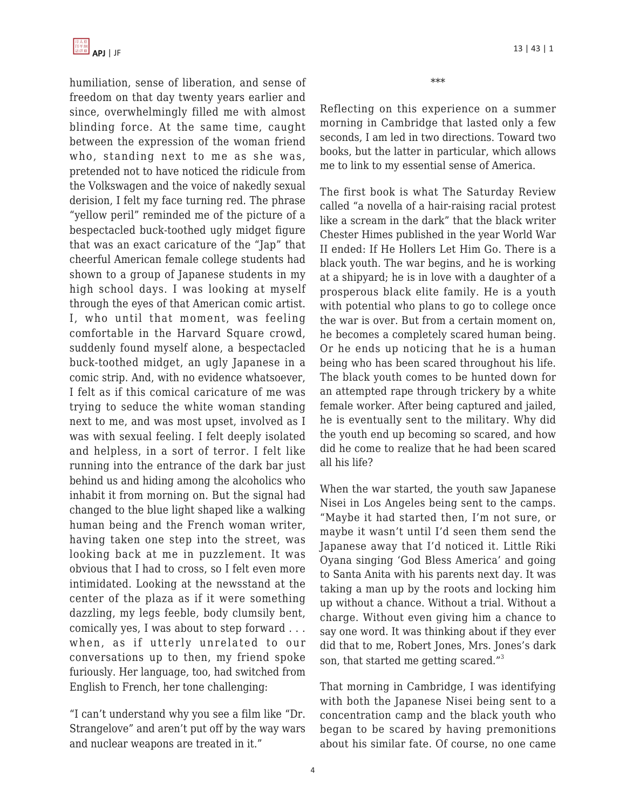

humiliation, sense of liberation, and sense of freedom on that day twenty years earlier and since, overwhelmingly filled me with almost blinding force. At the same time, caught between the expression of the woman friend who, standing next to me as she was, pretended not to have noticed the ridicule from the Volkswagen and the voice of nakedly sexual derision, I felt my face turning red. The phrase "yellow peril" reminded me of the picture of a bespectacled buck-toothed ugly midget figure that was an exact caricature of the "Jap" that cheerful American female college students had shown to a group of Japanese students in my high school days. I was looking at myself through the eyes of that American comic artist. I, who until that moment, was feeling comfortable in the Harvard Square crowd, suddenly found myself alone, a bespectacled buck-toothed midget, an ugly Japanese in a comic strip. And, with no evidence whatsoever, I felt as if this comical caricature of me was trying to seduce the white woman standing next to me, and was most upset, involved as I was with sexual feeling. I felt deeply isolated and helpless, in a sort of terror. I felt like running into the entrance of the dark bar just behind us and hiding among the alcoholics who inhabit it from morning on. But the signal had changed to the blue light shaped like a walking human being and the French woman writer, having taken one step into the street, was looking back at me in puzzlement. It was obvious that I had to cross, so I felt even more intimidated. Looking at the newsstand at the center of the plaza as if it were something dazzling, my legs feeble, body clumsily bent, comically yes, I was about to step forward . . . when, as if utterly unrelated to our conversations up to then, my friend spoke furiously. Her language, too, had switched from English to French, her tone challenging:

"I can't understand why you see a film like "Dr. Strangelove" and aren't put off by the way wars and nuclear weapons are treated in it."

\*\*\*

Reflecting on this experience on a summer morning in Cambridge that lasted only a few seconds, I am led in two directions. Toward two books, but the latter in particular, which allows me to link to my essential sense of America.

The first book is what The Saturday Review called "a novella of a hair-raising racial protest like a scream in the dark" that the black writer Chester Himes published in the year World War II ended: If He Hollers Let Him Go. There is a black youth. The war begins, and he is working at a shipyard; he is in love with a daughter of a prosperous black elite family. He is a youth with potential who plans to go to college once the war is over. But from a certain moment on, he becomes a completely scared human being. Or he ends up noticing that he is a human being who has been scared throughout his life. The black youth comes to be hunted down for an attempted rape through trickery by a white female worker. After being captured and jailed, he is eventually sent to the military. Why did the youth end up becoming so scared, and how did he come to realize that he had been scared all his life?

When the war started, the youth saw Japanese Nisei in Los Angeles being sent to the camps. "Maybe it had started then, I'm not sure, or maybe it wasn't until I'd seen them send the Japanese away that I'd noticed it. Little Riki Oyana singing 'God Bless America' and going to Santa Anita with his parents next day. It was taking a man up by the roots and locking him up without a chance. Without a trial. Without a charge. Without even giving him a chance to say one word. It was thinking about if they ever did that to me, Robert Jones, Mrs. Jones's dark son, that started me getting scared."<sup>3</sup>

That morning in Cambridge, I was identifying with both the Japanese Nisei being sent to a concentration camp and the black youth who began to be scared by having premonitions about his similar fate. Of course, no one came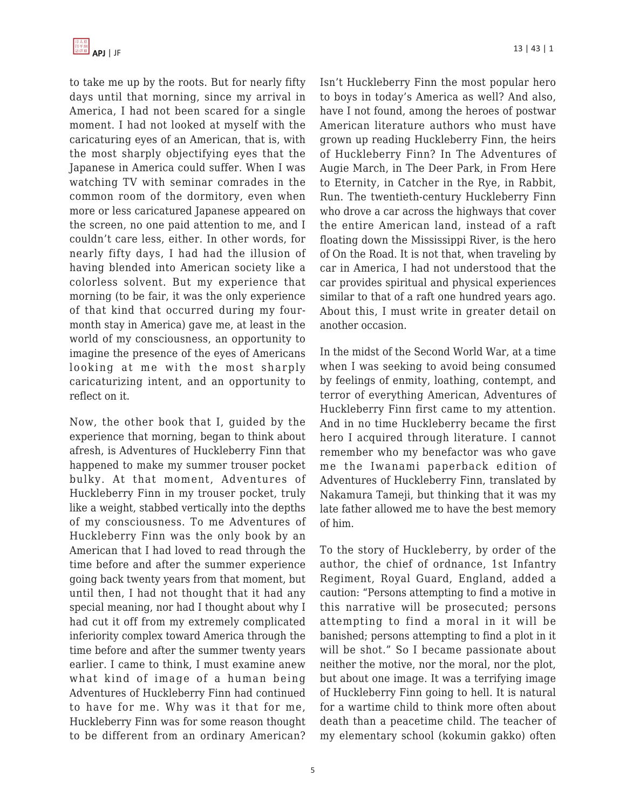

to take me up by the roots. But for nearly fifty days until that morning, since my arrival in America, I had not been scared for a single moment. I had not looked at myself with the caricaturing eyes of an American, that is, with the most sharply objectifying eyes that the Japanese in America could suffer. When I was watching TV with seminar comrades in the common room of the dormitory, even when more or less caricatured Japanese appeared on the screen, no one paid attention to me, and I couldn't care less, either. In other words, for nearly fifty days, I had had the illusion of having blended into American society like a colorless solvent. But my experience that morning (to be fair, it was the only experience of that kind that occurred during my fourmonth stay in America) gave me, at least in the world of my consciousness, an opportunity to imagine the presence of the eyes of Americans looking at me with the most sharply caricaturizing intent, and an opportunity to reflect on it.

Now, the other book that I, guided by the experience that morning, began to think about afresh, is Adventures of Huckleberry Finn that happened to make my summer trouser pocket bulky. At that moment, Adventures of Huckleberry Finn in my trouser pocket, truly like a weight, stabbed vertically into the depths of my consciousness. To me Adventures of Huckleberry Finn was the only book by an American that I had loved to read through the time before and after the summer experience going back twenty years from that moment, but until then, I had not thought that it had any special meaning, nor had I thought about why I had cut it off from my extremely complicated inferiority complex toward America through the time before and after the summer twenty years earlier. I came to think, I must examine anew what kind of image of a human being Adventures of Huckleberry Finn had continued to have for me. Why was it that for me, Huckleberry Finn was for some reason thought to be different from an ordinary American? Isn't Huckleberry Finn the most popular hero to boys in today's America as well? And also, have I not found, among the heroes of postwar American literature authors who must have grown up reading Huckleberry Finn, the heirs of Huckleberry Finn? In The Adventures of Augie March, in The Deer Park, in From Here to Eternity, in Catcher in the Rye, in Rabbit, Run. The twentieth-century Huckleberry Finn who drove a car across the highways that cover the entire American land, instead of a raft floating down the Mississippi River, is the hero of On the Road. It is not that, when traveling by car in America, I had not understood that the car provides spiritual and physical experiences similar to that of a raft one hundred years ago. About this, I must write in greater detail on another occasion.

In the midst of the Second World War, at a time when I was seeking to avoid being consumed by feelings of enmity, loathing, contempt, and terror of everything American, Adventures of Huckleberry Finn first came to my attention. And in no time Huckleberry became the first hero I acquired through literature. I cannot remember who my benefactor was who gave me the Iwanami paperback edition of Adventures of Huckleberry Finn, translated by Nakamura Tameji, but thinking that it was my late father allowed me to have the best memory of him.

To the story of Huckleberry, by order of the author, the chief of ordnance, 1st Infantry Regiment, Royal Guard, England, added a caution: "Persons attempting to find a motive in this narrative will be prosecuted; persons attempting to find a moral in it will be banished; persons attempting to find a plot in it will be shot." So I became passionate about neither the motive, nor the moral, nor the plot, but about one image. It was a terrifying image of Huckleberry Finn going to hell. It is natural for a wartime child to think more often about death than a peacetime child. The teacher of my elementary school (kokumin gakko) often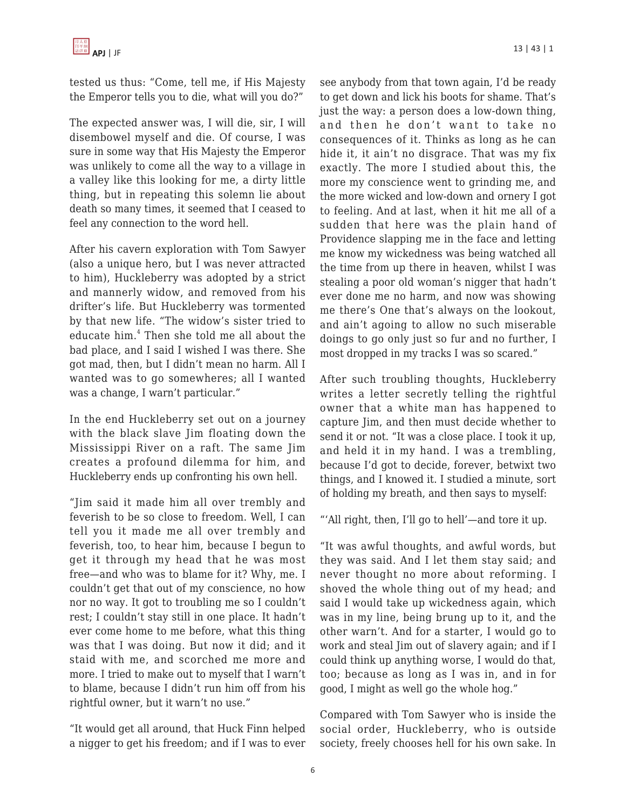tested us thus: "Come, tell me, if His Majesty the Emperor tells you to die, what will you do?"

The expected answer was, I will die, sir, I will disembowel myself and die. Of course, I was sure in some way that His Majesty the Emperor was unlikely to come all the way to a village in a valley like this looking for me, a dirty little thing, but in repeating this solemn lie about death so many times, it seemed that I ceased to feel any connection to the word hell.

After his cavern exploration with Tom Sawyer (also a unique hero, but I was never attracted to him), Huckleberry was adopted by a strict and mannerly widow, and removed from his drifter's life. But Huckleberry was tormented by that new life. "The widow's sister tried to educate him.<sup>4</sup> Then she told me all about the bad place, and I said I wished I was there. She got mad, then, but I didn't mean no harm. All I wanted was to go somewheres; all I wanted was a change, I warn't particular."

In the end Huckleberry set out on a journey with the black slave Jim floating down the Mississippi River on a raft. The same Jim creates a profound dilemma for him, and Huckleberry ends up confronting his own hell.

"Jim said it made him all over trembly and feverish to be so close to freedom. Well, I can tell you it made me all over trembly and feverish, too, to hear him, because I begun to get it through my head that he was most free—and who was to blame for it? Why, me. I couldn't get that out of my conscience, no how nor no way. It got to troubling me so I couldn't rest; I couldn't stay still in one place. It hadn't ever come home to me before, what this thing was that I was doing. But now it did; and it staid with me, and scorched me more and more. I tried to make out to myself that I warn't to blame, because I didn't run him off from his rightful owner, but it warn't no use."

"It would get all around, that Huck Finn helped a nigger to get his freedom; and if I was to ever see anybody from that town again, I'd be ready to get down and lick his boots for shame. That's just the way: a person does a low-down thing, and then he don't want to take no consequences of it. Thinks as long as he can hide it, it ain't no disgrace. That was my fix exactly. The more I studied about this, the more my conscience went to grinding me, and the more wicked and low-down and ornery I got to feeling. And at last, when it hit me all of a sudden that here was the plain hand of Providence slapping me in the face and letting me know my wickedness was being watched all the time from up there in heaven, whilst I was stealing a poor old woman's nigger that hadn't ever done me no harm, and now was showing me there's One that's always on the lookout, and ain't agoing to allow no such miserable doings to go only just so fur and no further, I most dropped in my tracks I was so scared."

After such troubling thoughts, Huckleberry writes a letter secretly telling the rightful owner that a white man has happened to capture Jim, and then must decide whether to send it or not. "It was a close place. I took it up, and held it in my hand. I was a trembling, because I'd got to decide, forever, betwixt two things, and I knowed it. I studied a minute, sort of holding my breath, and then says to myself:

"'All right, then, I'll go to hell'—and tore it up.

"It was awful thoughts, and awful words, but they was said. And I let them stay said; and never thought no more about reforming. I shoved the whole thing out of my head; and said I would take up wickedness again, which was in my line, being brung up to it, and the other warn't. And for a starter, I would go to work and steal Jim out of slavery again; and if I could think up anything worse, I would do that, too; because as long as I was in, and in for good, I might as well go the whole hog."

Compared with Tom Sawyer who is inside the social order, Huckleberry, who is outside society, freely chooses hell for his own sake. In